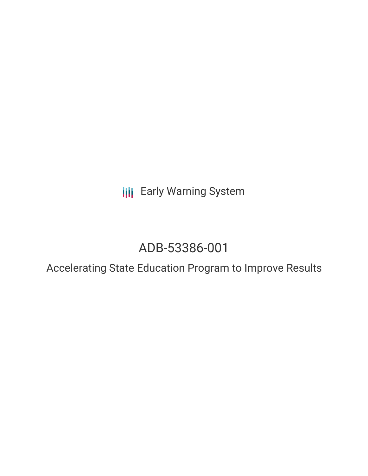**III** Early Warning System

# ADB-53386-001

Accelerating State Education Program to Improve Results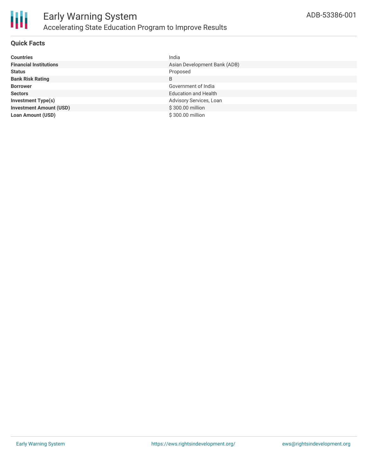

## **Quick Facts**

| <b>Countries</b>               | India                        |
|--------------------------------|------------------------------|
| <b>Financial Institutions</b>  | Asian Development Bank (ADB) |
| <b>Status</b>                  | Proposed                     |
| <b>Bank Risk Rating</b>        | B                            |
| <b>Borrower</b>                | Government of India          |
| <b>Sectors</b>                 | <b>Education and Health</b>  |
| <b>Investment Type(s)</b>      | Advisory Services, Loan      |
| <b>Investment Amount (USD)</b> | \$300.00 million             |
| Loan Amount (USD)              | \$300.00 million             |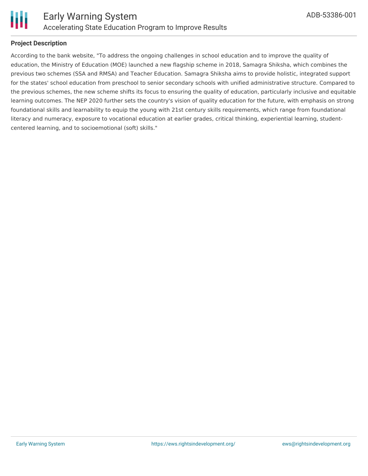

# **Project Description**

According to the bank website, "To address the ongoing challenges in school education and to improve the quality of education, the Ministry of Education (MOE) launched a new flagship scheme in 2018, Samagra Shiksha, which combines the previous two schemes (SSA and RMSA) and Teacher Education. Samagra Shiksha aims to provide holistic, integrated support for the states' school education from preschool to senior secondary schools with unified administrative structure. Compared to the previous schemes, the new scheme shifts its focus to ensuring the quality of education, particularly inclusive and equitable learning outcomes. The NEP 2020 further sets the country's vision of quality education for the future, with emphasis on strong foundational skills and learnability to equip the young with 21st century skills requirements, which range from foundational literacy and numeracy, exposure to vocational education at earlier grades, critical thinking, experiential learning, studentcentered learning, and to socioemotional (soft) skills."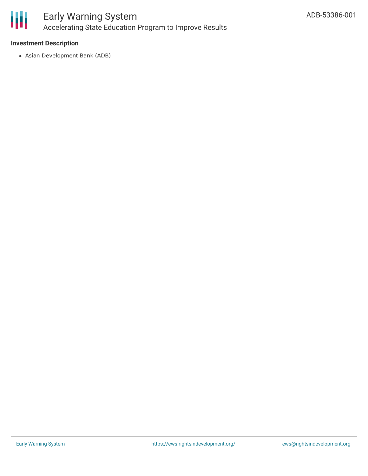

## **Investment Description**

Asian Development Bank (ADB)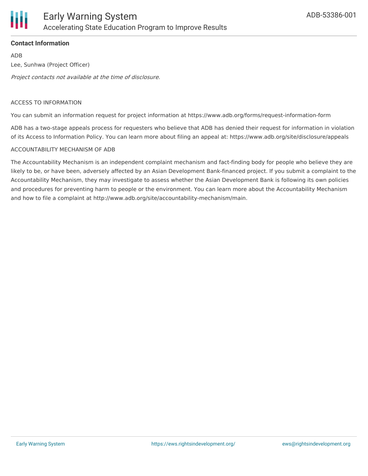

# **Contact Information**

ADB Lee, Sunhwa (Project Officer)

Project contacts not available at the time of disclosure.

#### ACCESS TO INFORMATION

You can submit an information request for project information at https://www.adb.org/forms/request-information-form

ADB has a two-stage appeals process for requesters who believe that ADB has denied their request for information in violation of its Access to Information Policy. You can learn more about filing an appeal at: https://www.adb.org/site/disclosure/appeals

#### ACCOUNTABILITY MECHANISM OF ADB

The Accountability Mechanism is an independent complaint mechanism and fact-finding body for people who believe they are likely to be, or have been, adversely affected by an Asian Development Bank-financed project. If you submit a complaint to the Accountability Mechanism, they may investigate to assess whether the Asian Development Bank is following its own policies and procedures for preventing harm to people or the environment. You can learn more about the Accountability Mechanism and how to file a complaint at http://www.adb.org/site/accountability-mechanism/main.